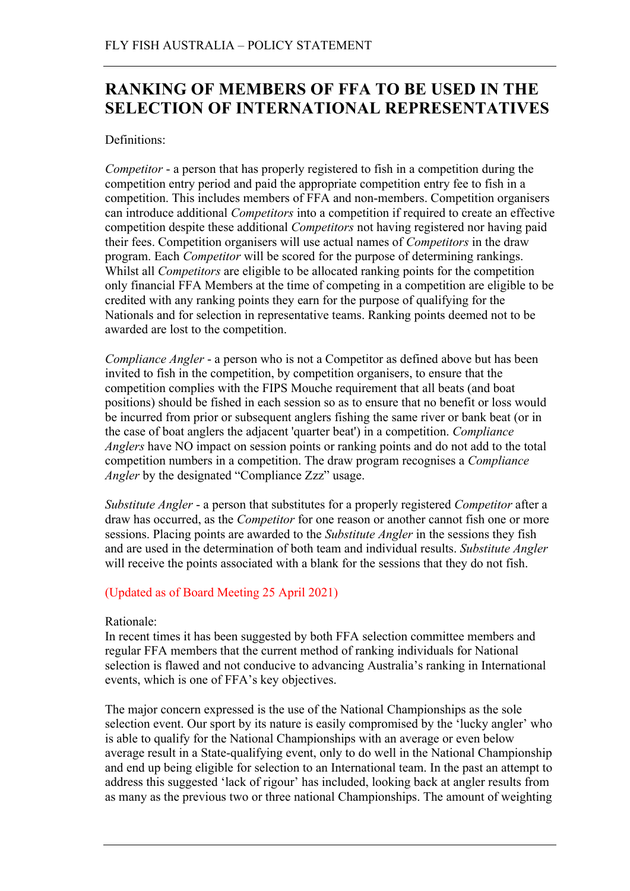# **RANKING OF MEMBERS OF FFA TO BE USED IN THE SELECTION OF INTERNATIONAL REPRESENTATIVES**

## Definitions:

*Competitor* - a person that has properly registered to fish in a competition during the competition entry period and paid the appropriate competition entry fee to fish in a competition. This includes members of FFA and non-members. Competition organisers can introduce additional *Competitors* into a competition if required to create an effective competition despite these additional *Competitors* not having registered nor having paid their fees. Competition organisers will use actual names of *Competitors* in the draw program. Each *Competitor* will be scored for the purpose of determining rankings. Whilst all *Competitors* are eligible to be allocated ranking points for the competition only financial FFA Members at the time of competing in a competition are eligible to be credited with any ranking points they earn for the purpose of qualifying for the Nationals and for selection in representative teams. Ranking points deemed not to be awarded are lost to the competition.

*Compliance Angler* - a person who is not a Competitor as defined above but has been invited to fish in the competition, by competition organisers, to ensure that the competition complies with the FIPS Mouche requirement that all beats (and boat positions) should be fished in each session so as to ensure that no benefit or loss would be incurred from prior or subsequent anglers fishing the same river or bank beat (or in the case of boat anglers the adjacent 'quarter beat') in a competition. *Compliance Anglers* have NO impact on session points or ranking points and do not add to the total competition numbers in a competition. The draw program recognises a *Compliance Angler* by the designated "Compliance Zzz" usage.

*Substitute Angler* - a person that substitutes for a properly registered *Competitor* after a draw has occurred, as the *Competitor* for one reason or another cannot fish one or more sessions. Placing points are awarded to the *Substitute Angler* in the sessions they fish and are used in the determination of both team and individual results. *Substitute Angler* will receive the points associated with a blank for the sessions that they do not fish.

# (Updated as of Board Meeting 25 April 2021)

## Rationale:

In recent times it has been suggested by both FFA selection committee members and regular FFA members that the current method of ranking individuals for National selection is flawed and not conducive to advancing Australia's ranking in International events, which is one of FFA's key objectives.

The major concern expressed is the use of the National Championships as the sole selection event. Our sport by its nature is easily compromised by the 'lucky angler' who is able to qualify for the National Championships with an average or even below average result in a State-qualifying event, only to do well in the National Championship and end up being eligible for selection to an International team. In the past an attempt to address this suggested 'lack of rigour' has included, looking back at angler results from as many as the previous two or three national Championships. The amount of weighting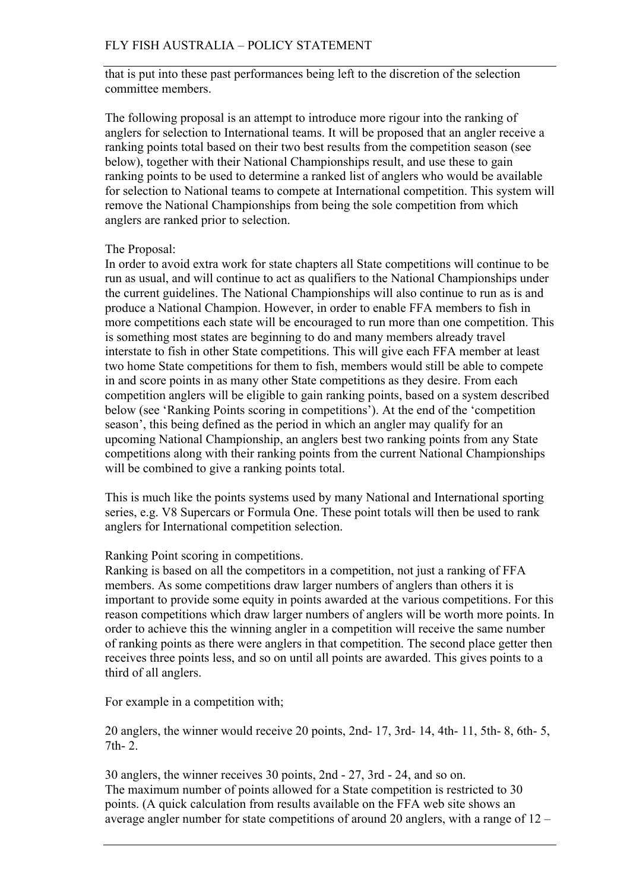#### FLY FISH AUSTRALIA – POLICY STATEMENT

that is put into these past performances being left to the discretion of the selection committee members.

The following proposal is an attempt to introduce more rigour into the ranking of anglers for selection to International teams. It will be proposed that an angler receive a ranking points total based on their two best results from the competition season (see below), together with their National Championships result, and use these to gain ranking points to be used to determine a ranked list of anglers who would be available for selection to National teams to compete at International competition. This system will remove the National Championships from being the sole competition from which anglers are ranked prior to selection.

#### The Proposal:

In order to avoid extra work for state chapters all State competitions will continue to be run as usual, and will continue to act as qualifiers to the National Championships under the current guidelines. The National Championships will also continue to run as is and produce a National Champion. However, in order to enable FFA members to fish in more competitions each state will be encouraged to run more than one competition. This is something most states are beginning to do and many members already travel interstate to fish in other State competitions. This will give each FFA member at least two home State competitions for them to fish, members would still be able to compete in and score points in as many other State competitions as they desire. From each competition anglers will be eligible to gain ranking points, based on a system described below (see 'Ranking Points scoring in competitions'). At the end of the 'competition season', this being defined as the period in which an angler may qualify for an upcoming National Championship, an anglers best two ranking points from any State competitions along with their ranking points from the current National Championships will be combined to give a ranking points total.

This is much like the points systems used by many National and International sporting series, e.g. V8 Supercars or Formula One. These point totals will then be used to rank anglers for International competition selection.

#### Ranking Point scoring in competitions.

Ranking is based on all the competitors in a competition, not just a ranking of FFA members. As some competitions draw larger numbers of anglers than others it is important to provide some equity in points awarded at the various competitions. For this reason competitions which draw larger numbers of anglers will be worth more points. In order to achieve this the winning angler in a competition will receive the same number of ranking points as there were anglers in that competition. The second place getter then receives three points less, and so on until all points are awarded. This gives points to a third of all anglers.

For example in a competition with;

20 anglers, the winner would receive 20 points, 2nd- 17, 3rd- 14, 4th- 11, 5th- 8, 6th- 5,  $7th-2$ 

30 anglers, the winner receives 30 points, 2nd - 27, 3rd - 24, and so on. The maximum number of points allowed for a State competition is restricted to 30 points. (A quick calculation from results available on the FFA web site shows an average angler number for state competitions of around 20 anglers, with a range of 12 –